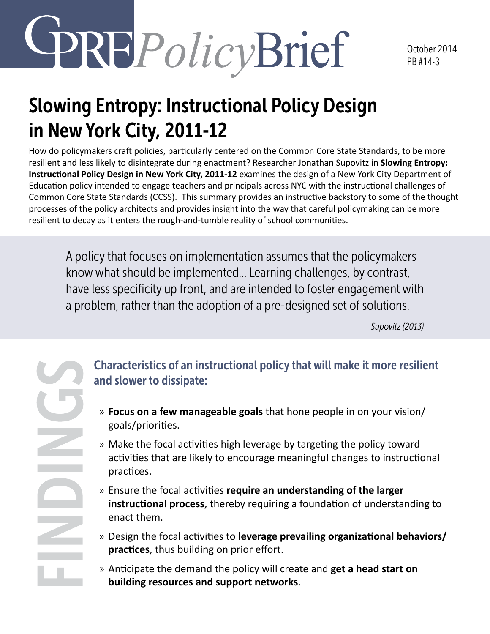# REPolicyBrief

## Slowing Entropy: Instructional Policy Design in New York City, 2011-12

How do policymakers craft policies, particularly centered on the Common Core State Standards, to be more resilient and less likely to disintegrate during enactment? Researcher Jonathan Supovitz in **Slowing Entropy: Instructional Policy Design in New York City, 2011-12** examines the design of a New York City Department of Education policy intended to engage teachers and principals across NYC with the instructional challenges of Common Core State Standards (CCSS). This summary provides an instructive backstory to some of the thought processes of the policy architects and provides insight into the way that careful policymaking can be more resilient to decay as it enters the rough-and-tumble reality of school communities.

A policy that focuses on implementation assumes that the policymakers know what should be implemented… Learning challenges, by contrast, have less specificity up front, and are intended to foster engagement with a problem, rather than the adoption of a pre-designed set of solutions.

*Supovitz (2013)*

Characteristics of an instructional policy that will make it more resilient and slower to dissipate:

- » **Focus on a few manageable goals** that hone people in on your vision/ goals/priorities.
- » Make the focal activities high leverage by targeting the policy toward activities that are likely to encourage meaningful changes to instructional practices.
- » Ensure the focal activities **require an understanding of the larger instructional process**, thereby requiring a foundation of understanding to enact them.
- » Design the focal activities to **leverage prevailing organizational behaviors/ practices**, thus building on prior effort.
- » Anticipate the demand the policy will create and **get a head start on building resources and support networks**.